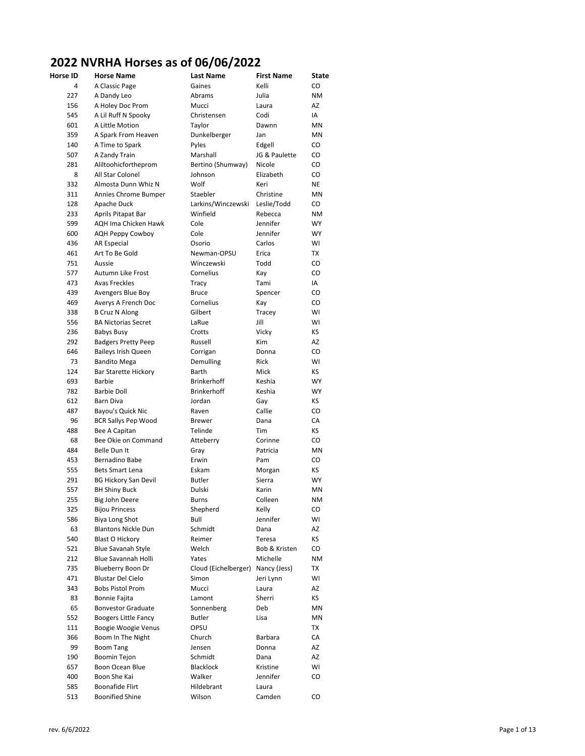## **2022 NVRHA Horses as of 06/06/2022**<br>Horse ID Horse Name Last Name Fire

| Horse ID | <b>Horse Name</b>           | Last Name            | <b>First Name</b> | State     |
|----------|-----------------------------|----------------------|-------------------|-----------|
| 4        | A Classic Page              | Gaines               | Kelli             | CO        |
| 227      | A Dandy Leo                 | Abrams               | Julia             | <b>NM</b> |
| 156      | A Holey Doc Prom            | Mucci                | Laura             | AZ        |
| 545      | A Lil Ruff N Spooky         | Christensen          | Codi              | IA        |
| 601      | A Little Motion             | Taylor               | Dawnn             | <b>MN</b> |
| 359      | A Spark From Heaven         | Dunkelberger         | Jan               | MN        |
| 140      | A Time to Spark             | Pyles                | Edgell            | CO        |
| 507      | A Zandy Train               | Marshall             | JG & Paulette     | CO        |
| 281      | Aliltoohicfortheprom        | Bertino (Shumway)    | Nicole            | CO        |
| 8        | All Star Colonel            | Johnson              | Elizabeth         | CO        |
| 332      | Almosta Dunn Whiz N         | Wolf                 | Keri              | NE        |
| 311      | Annies Chrome Bumper        | Staebler             | Christine         | MN        |
| 128      | Apache Duck                 | Larkins/Winczewski   | Leslie/Todd       | CO        |
| 233      | Aprils Pitapat Bar          | Winfield             | Rebecca           | ΝM        |
| 599      | <b>AQH Ima Chicken Hawk</b> | Cole                 | Jennifer          | <b>WY</b> |
| 600      | <b>AQH Peppy Cowboy</b>     | Cole                 | Jennifer          | WY        |
| 436      | <b>AR Especial</b>          | Osorio               | Carlos            | WI        |
| 461      | Art To Be Gold              | Newman-OPSU          | Erica             | TX        |
| 751      | Aussie                      | Winczewski           | Todd              | CO        |
| 577      | Autumn Like Frost           | Cornelius            | Kay               | CO        |
| 473      | <b>Avas Freckles</b>        | Tracy                | Tami              | IA        |
| 439      | Avengers Blue Boy           | <b>Bruce</b>         | Spencer           | CO        |
| 469      | Averys A French Doc         | Cornelius            | Kay               | CO        |
| 338      | <b>B Cruz N Along</b>       | Gilbert              | Tracey            | WI        |
| 556      | <b>BA Nictorias Secret</b>  | LaRue                | Jill              | WI        |
| 236      | <b>Babys Busy</b>           | Crotts               | Vicky             | ΚS        |
| 292      | <b>Badgers Pretty Peep</b>  | Russell              | <b>Kim</b>        | AZ        |
| 646      | <b>Baileys Irish Queen</b>  | Corrigan             | Donna             | CO        |
| 73       | <b>Bandito Mega</b>         | Demulling            | <b>Rick</b>       | WI        |
| 124      | <b>Bar Starette Hickory</b> | Barth                | Mick              | ΚS        |
| 693      | <b>Barbie</b>               | <b>Brinkerhoff</b>   | Keshia            | <b>WY</b> |
| 782      | <b>Barbie Doll</b>          | <b>Brinkerhoff</b>   | Keshia            | <b>WY</b> |
| 612      | Barn Diva                   | Jordan               | Gay               | КS        |
| 487      | Bayou's Quick Nic           | Raven                | Callie            | CO        |
| 96       | <b>BCR Sallys Pep Wood</b>  | <b>Brewer</b>        | Dana              | СA        |
| 488      | Bee A Capitan               | Telinde              | Tim               | ΚS        |
| 68       | Bee Okie on Command         | Atteberry            | Corinne           | CO        |
| 484      | Belle Dun It                | Gray                 | Patricia          | ΜN        |
| 453      | Bernadino Babe              | Erwin                | Pam               | CO        |
| 555      | <b>Bets Smart Lena</b>      | Eskam                | Morgan            | ΚS        |
| 291      | <b>BG Hickory San Devil</b> | <b>Butler</b>        | Sierra            | <b>WY</b> |
| 557      | <b>BH Shiny Buck</b>        | Dulski               | Karin             | MN        |
| 255      | Big John Deere              | Burns                | Colleen           | NM.       |
| 325      | <b>Bijou Princess</b>       | Shepherd             | Kelly             | CO        |
| 586      | Biya Long Shot              | Bull                 | Jennifer          | WI        |
| 63       | <b>Blantons Nickle Dun</b>  | Schmidt              | Dana              | AZ        |
| 540      | <b>Blast O Hickory</b>      | Reimer               | Teresa            | ΚS        |
| 521      | Blue Savanah Style          | Welch                | Bob & Kristen     | CO        |
| 212      | Blue Savannah Holli         | Yates                | Michelle          | ΝM        |
| 735      | Blueberry Boon Dr           | Cloud (Eichelberger) | Nancy (Jess)      | TX        |
| 471      | Blustar Del Cielo           | Simon                | Jeri Lynn         | WI        |
| 343      | <b>Bobs Pistol Prom</b>     | Mucci                | Laura             | AZ        |
| 83       | <b>Bonnie Fajita</b>        | Lamont               | Sherri            | КS        |
| 65       | <b>Bonvestor Graduate</b>   | Sonnenberg           | Deb               | ΜN        |
| 552      | <b>Boogers Little Fancy</b> | <b>Butler</b>        | Lisa              | ΜN        |
| 111      | Boogie Woogie Venus         | OPSU                 |                   | TX        |
| 366      | Boom In The Night           | Church               | Barbara           | СA        |
| 99       | <b>Boom Tang</b>            | Jensen               | Donna             | AZ        |
| 190      | Boomin Tejon                | Schmidt              | Dana              | AZ        |
| 657      | Boon Ocean Blue             | Blacklock            | Kristine          | WI        |
| 400      | Boon She Kai                | Walker               | Jennifer          | CO        |
| 585      | Boonafide Flirt             | Hildebrant           | Laura             |           |
| 513      | <b>Boonified Shine</b>      | Wilson               | Camden            | CO        |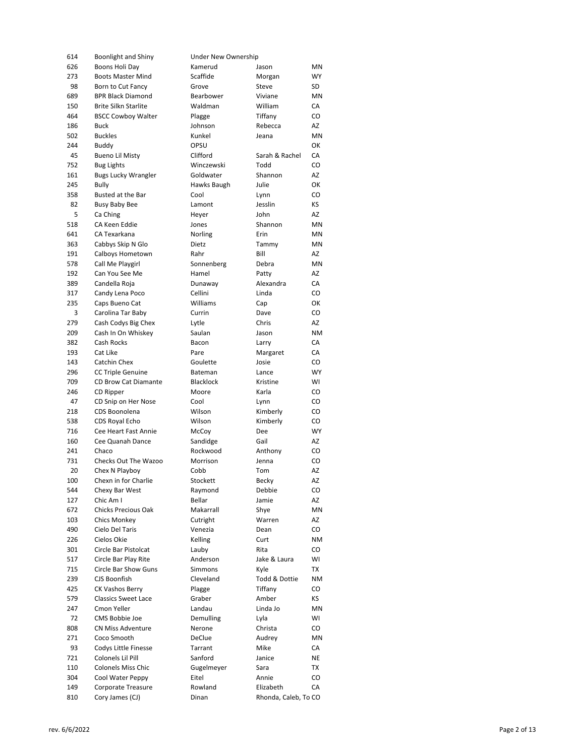| 614 | <b>Boonlight and Shiny</b>  | Under New Ownership |                      |           |
|-----|-----------------------------|---------------------|----------------------|-----------|
| 626 | Boons Holi Day              | Kamerud             | Jason                | ΜN        |
| 273 | <b>Boots Master Mind</b>    | Scaffide            | Morgan               | WY        |
| 98  | Born to Cut Fancy           | Grove               | Steve                | SD        |
| 689 | <b>BPR Black Diamond</b>    | Bearbower           | Viviane              | ΜN        |
| 150 | <b>Brite Silkn Starlite</b> | Waldman             | William              | СA        |
| 464 | <b>BSCC Cowboy Walter</b>   | Plagge              | Tiffany              | CO        |
| 186 | <b>Buck</b>                 | Johnson             | Rebecca              | AZ        |
| 502 | <b>Buckles</b>              | Kunkel              | Jeana                | <b>MN</b> |
| 244 | <b>Buddy</b>                | OPSU                |                      | ОК        |
| 45  | <b>Bueno Lil Misty</b>      | Clifford            | Sarah & Rachel       | CA        |
| 752 | <b>Bug Lights</b>           | Winczewski          | Todd                 | CO        |
| 161 | <b>Bugs Lucky Wrangler</b>  | Goldwater           | Shannon              | AZ        |
| 245 | <b>Bully</b>                | Hawks Baugh         | Julie                | ОК        |
| 358 | Busted at the Bar           | Cool                | Lynn                 | CO        |
| 82  | Busy Baby Bee               | Lamont              | Jesslin              | КS        |
| 5   | Ca Ching                    | Heyer               | John                 | AZ        |
| 518 | CA Keen Eddie               | Jones               | Shannon              | ΜN        |
| 641 | CA Texarkana                | Norling             | Erin                 | ΜN        |
| 363 | Cabbys Skip N Glo           | Dietz               | Tammy                | ΜN        |
| 191 | Calboys Hometown            | Rahr                | Bill                 | AZ        |
|     | Call Me Playgirl            |                     | Debra                |           |
| 578 |                             | Sonnenberg          |                      | ΜN        |
| 192 | Can You See Me              | Hamel               | Patty                | AZ        |
| 389 | Candella Roja               | Dunaway             | Alexandra            | СA        |
| 317 | Candy Lena Poco             | Cellini             | Linda                | CO        |
| 235 | Caps Bueno Cat              | Williams            | Cap                  | ОΚ        |
| 3   | Carolina Tar Baby           | Currin              | Dave                 | CO        |
| 279 | Cash Codys Big Chex         | Lytle               | Chris                | AZ        |
| 209 | Cash In On Whiskey          | Saulan              | Jason                | ΝM        |
| 382 | Cash Rocks                  | Bacon               | Larry                | СA        |
| 193 | Cat Like                    | Pare                | Margaret             | СA        |
| 143 | Catchin Chex                | Goulette            | Josie                | CO        |
| 296 | <b>CC Triple Genuine</b>    | Bateman             | Lance                | <b>WY</b> |
| 709 | CD Brow Cat Diamante        | Blacklock           | Kristine             | WI        |
| 246 | CD Ripper                   | Moore               | Karla                | CO        |
| 47  | CD Snip on Her Nose         | Cool                | Lynn                 | CO        |
| 218 | CDS Boonolena               | Wilson              | Kimberly             | CO        |
| 538 | CDS Royal Echo              | Wilson              | Kimberly             | CO        |
| 716 | Cee Heart Fast Annie        | McCoy               | Dee                  | WY        |
| 160 | Cee Quanah Dance            | Sandidge            | Gail                 | AZ        |
| 241 | Chaco                       | Rockwood            | Anthony              | CO        |
| 731 | Checks Out The Wazoo        | Morrison            | Jenna                | CO        |
| 20  | Chex N Playboy              | Cobb                | Tom                  | AZ        |
| 100 | Chexn in for Charlie        | Stockett            | Becky                | AZ        |
| 544 | Chexy Bar West              | Raymond             | Debbie               | CO        |
| 127 | Chic Am I                   | Bellar              | Jamie                | AZ        |
| 672 | Chicks Precious Oak         | Makarrall           | Shye                 | ΜN        |
| 103 | Chics Monkey                | Cutright            | Warren               | AZ        |
| 490 | Cielo Del Taris             | Venezia             | Dean                 | CO        |
| 226 | Cielos Okie                 | Kelling             | Curt                 | ΝM        |
| 301 | Circle Bar Pistolcat        | Lauby               | Rita                 | CO        |
| 517 | Circle Bar Play Rite        | Anderson            | Jake & Laura         | WI        |
| 715 | Circle Bar Show Guns        | Simmons             | Kyle                 | ТX        |
| 239 | CJS Boonfish                | Cleveland           | Todd & Dottie        |           |
|     |                             |                     |                      | ΝM        |
| 425 | <b>CK Vashos Berry</b>      | Plagge              | Tiffany              | CO        |
| 579 | <b>Classics Sweet Lace</b>  | Graber              | Amber                | КS        |
| 247 | Cmon Yeller                 | Landau              | Linda Jo             | ΜN        |
| 72  | CMS Bobbie Joe              | Demulling           | Lyla                 | WI        |
| 808 | <b>CN Miss Adventure</b>    | Nerone              | Christa              | CO        |
| 271 | Coco Smooth                 | DeClue              | Audrey               | ΜN        |
| 93  | Codys Little Finesse        | Tarrant             | Mike                 | СA        |
| 721 | Colonels Lil Pill           | Sanford             | Janice               | NE        |
| 110 | Colonels Miss Chic          | Gugelmeyer          | Sara                 | ТX        |
| 304 | Cool Water Peppy            | Eitel               | Annie                | CO        |
| 149 | Corporate Treasure          | Rowland             | Elizabeth            | СA        |
| 810 | Cory James (CJ)             | Dinan               | Rhonda, Caleb, To CO |           |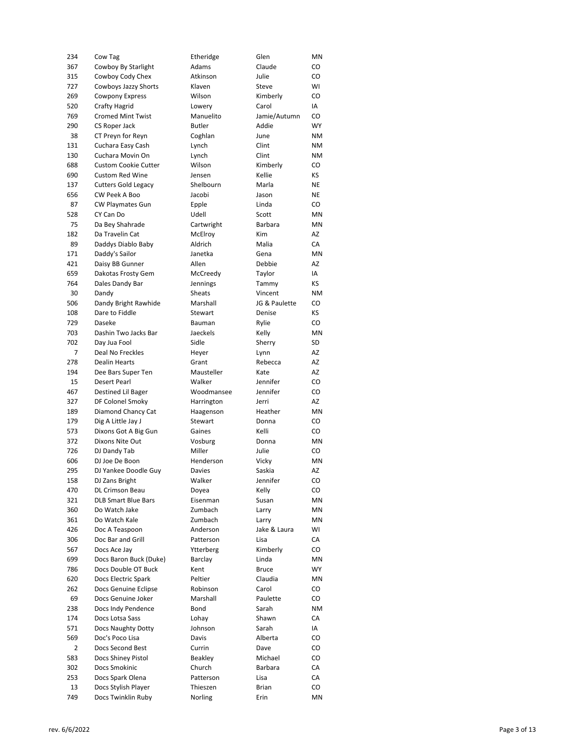| 234 | Cow Tag                     | Etheridge     | Glen          | MN        |
|-----|-----------------------------|---------------|---------------|-----------|
| 367 | Cowboy By Starlight         | Adams         | Claude        | CO        |
| 315 | Cowboy Cody Chex            | Atkinson      | Julie         | CO        |
| 727 | Cowboys Jazzy Shorts        | Klaven        | Steve         | WI        |
| 269 | <b>Cowpony Express</b>      | Wilson        | Kimberly      | CO        |
| 520 | Crafty Hagrid               | Lowery        | Carol         | IA        |
| 769 | <b>Cromed Mint Twist</b>    | Manuelito     | Jamie/Autumn  | CO        |
| 290 | CS Roper Jack               | <b>Butler</b> | Addie         | <b>WY</b> |
| 38  | CT Preyn for Reyn           | Coghlan       | June          | <b>NM</b> |
| 131 | Cuchara Easy Cash           | Lynch         | Clint         | <b>NM</b> |
| 130 | Cuchara Movin On            | Lynch         | Clint         | <b>NM</b> |
| 688 | <b>Custom Cookie Cutter</b> | Wilson        | Kimberly      | CO        |
| 690 | <b>Custom Red Wine</b>      | Jensen        | Kellie        | КS        |
| 137 | <b>Cutters Gold Legacy</b>  | Shelbourn     | Marla         | NE        |
| 656 | CW Peek A Boo               | Jacobi        | Jason         | NE        |
| 87  | <b>CW Playmates Gun</b>     | Epple         | Linda         | CO        |
| 528 | CY Can Do                   | Udell         | Scott         | MN        |
| 75  | Da Bey Shahrade             | Cartwright    | Barbara       | MN        |
| 182 | Da Travelin Cat             | McElroy       | <b>Kim</b>    | AZ        |
| 89  | Daddys Diablo Baby          | Aldrich       | Malia         | CA        |
| 171 | Daddy's Sailor              | Janetka       | Gena          | MN        |
| 421 | Daisy BB Gunner             | Allen         | Debbie        | AZ        |
| 659 | Dakotas Frosty Gem          | McCreedy      | Taylor        | IA        |
| 764 | Dales Dandy Bar             | Jennings      | Tammy         | КS        |
| 30  | Dandy                       | Sheats        | Vincent       | <b>NM</b> |
| 506 | Dandy Bright Rawhide        | Marshall      | JG & Paulette | CO        |
| 108 | Dare to Fiddle              | Stewart       | Denise        | КS        |
| 729 | Daseke                      | Bauman        | Rylie         | CO        |
| 703 | Dashin Two Jacks Bar        | Jaeckels      | Kelly         | MN        |
| 702 | Day Jua Fool                | Sidle         | Sherry        | SD        |
| 7   | Deal No Freckles            | Heyer         | Lynn          | AZ        |
| 278 | <b>Dealin Hearts</b>        | Grant         | Rebecca       | AZ        |
| 194 | Dee Bars Super Ten          | Mausteller    | Kate          | AZ        |
|     |                             |               |               |           |
| 15  | <b>Desert Pearl</b>         | Walker        | Jennifer      | CO        |
| 467 | Destined Lil Bager          | Woodmansee    | Jennifer      | CO        |
| 327 | DF Colonel Smoky            | Harrington    | Jerri         | AZ        |
| 189 | Diamond Chancy Cat          | Haagenson     | Heather       | MN        |
| 179 | Dig A Little Jay J          | Stewart       | Donna         | CO        |
| 573 | Dixons Got A Big Gun        | Gaines        | Kelli         | CO        |
| 372 | Dixons Nite Out             | Vosburg       | Donna         | MN        |
| 726 | DJ Dandy Tab                | Miller        | Julie         | CO        |
| 606 | DJ Joe De Boon              | Henderson     | Vicky         | MN        |
| 295 | DJ Yankee Doodle Guy        | Davies        | Saskia        | AZ        |
| 158 | DJ Zans Bright              | Walker        | Jennifer      | CO        |
| 470 | DL Crimson Beau             | Doyea         | Kelly         | CO        |
| 321 | <b>DLB Smart Blue Bars</b>  | Eisenman      | Susan         | ΜN        |
| 360 | Do Watch Jake               | Zumbach       | Larry         | MN        |
| 361 | Do Watch Kale               | Zumbach       | Larry         | MN        |
| 426 | Doc A Teaspoon              | Anderson      | Jake & Laura  | WI        |
| 306 | Doc Bar and Grill           | Patterson     | Lisa          | СA        |
| 567 | Docs Ace Jay                | Ytterberg     | Kimberly      | CO        |
| 699 | Docs Baron Buck (Duke)      | Barclay       | Linda         | ΜN        |
| 786 | Docs Double OT Buck         | Kent          | <b>Bruce</b>  | WY        |
| 620 | Docs Electric Spark         | Peltier       | Claudia       | MN        |
| 262 | Docs Genuine Eclipse        | Robinson      | Carol         | CO        |
| 69  | Docs Genuine Joker          | Marshall      | Paulette      | CO        |
| 238 | Docs Indy Pendence          | Bond          | Sarah         | ΝM        |
| 174 | Docs Lotsa Sass             | Lohay         | Shawn         | СA        |
| 571 | Docs Naughty Dotty          | Johnson       | Sarah         | IA        |
| 569 | Doc's Poco Lisa             | Davis         | Alberta       | CO        |
| 2   | Docs Second Best            | Currin        | Dave          | CO        |
| 583 | Docs Shiney Pistol          | Beakley       | Michael       | CO        |
| 302 | Docs Smokinic               | Church        | Barbara       | СA        |
| 253 | Docs Spark Olena            | Patterson     | Lisa          | СA        |
| 13  | Docs Stylish Player         | Thieszen      | Brian         | CO        |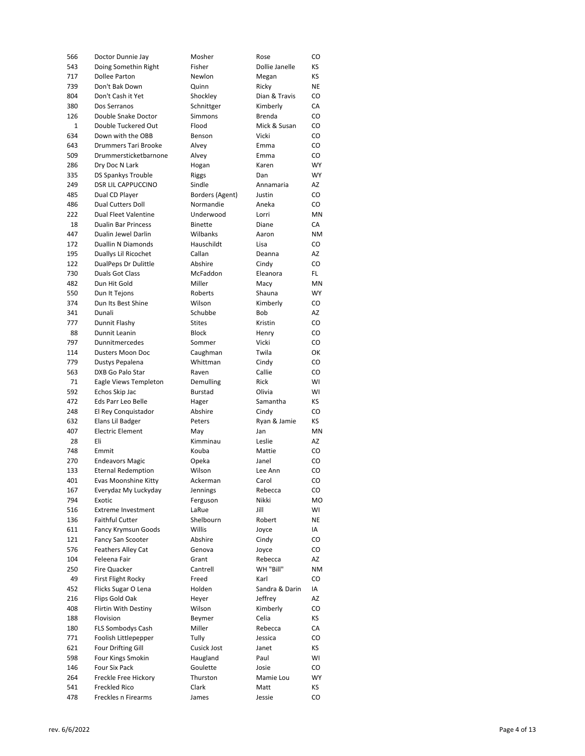| 566 | Doctor Dunnie Jay           | Mosher          | Rose           | CO        |
|-----|-----------------------------|-----------------|----------------|-----------|
| 543 | Doing Somethin Right        | Fisher          | Dollie Janelle | ΚS        |
| 717 | Dollee Parton               | Newlon          | Megan          | ΚS        |
| 739 | Don't Bak Down              | Quinn           | Ricky          | ΝE        |
| 804 | Don't Cash it Yet           | Shockley        | Dian & Travis  | CO        |
| 380 | Dos Serranos                | Schnittger      | Kimberly       | СA        |
| 126 | Double Snake Doctor         | Simmons         | <b>Brenda</b>  | CO        |
| 1   | Double Tuckered Out         | Flood           | Mick & Susan   | CO        |
| 634 | Down with the OBB           | Benson          | Vicki          | CO        |
| 643 | Drummers Tari Brooke        | Alvey           | Emma           | CO        |
| 509 | Drummersticketbarnone       | Alvey           | Emma           | CO        |
| 286 | Dry Doc N Lark              | Hogan           | Karen          | WY        |
| 335 | <b>DS Spankys Trouble</b>   | Riggs           | Dan            | WY        |
| 249 | <b>DSR LIL CAPPUCCINO</b>   | Sindle          | Annamaria      | AZ        |
| 485 | Dual CD Player              | Borders (Agent) | Justin         | CO        |
| 486 | <b>Dual Cutters Doll</b>    | Normandie       | Aneka          | CO        |
| 222 | Dual Fleet Valentine        | Underwood       | Lorri          | ΜN        |
| 18  | <b>Dualin Bar Princess</b>  | Binette         | Diane          | СA        |
| 447 | Dualin Jewel Darlin         | Wilbanks        | Aaron          | <b>NM</b> |
| 172 | <b>Duallin N Diamonds</b>   | Hauschildt      | Lisa           | CO        |
| 195 | Duallys Lil Ricochet        | Callan          | Deanna         | AZ        |
| 122 | <b>DualPeps Dr Dulittle</b> | Abshire         | Cindy          | CO        |
| 730 | Duals Got Class             | McFaddon        | Eleanora       | FL.       |
| 482 | Dun Hit Gold                | Miller          | Macy           | ΜN        |
| 550 | Dun It Tejons               | Roberts         | Shauna         | WY        |
| 374 | Dun Its Best Shine          | Wilson          | Kimberly       | CO        |
| 341 | Dunali                      | Schubbe         | Bob            | AZ        |
| 777 | Dunnit Flashy               | <b>Stites</b>   | Kristin        | CO        |
| 88  | Dunnit Leanin               | <b>Block</b>    | Henry          | CO        |
| 797 | Dunnitmercedes              | Sommer          | Vicki          | CO        |
| 114 | Dusters Moon Doc            | Caughman        | Twila          | ОК        |
| 779 | Dustys Pepalena             | Whittman        | Cindy          | CO        |
| 563 | DXB Go Palo Star            | Raven           | Callie         | CO        |
| 71  | Eagle Views Templeton       | Demulling       | <b>Rick</b>    | WI        |
| 592 | Echos Skip Jac              |                 | Olivia         | WI        |
| 472 |                             | Burstad         | Samantha       | ΚS        |
|     | Eds Parr Leo Belle          | Hager           |                |           |
| 248 | El Rey Conquistador         | Abshire         | Cindy          | CO        |
| 632 | Elans Lil Badger            | Peters          | Ryan & Jamie   | КS        |
| 407 | <b>Electric Element</b>     | May             | Jan            | ΜN        |
| 28  | Eli                         | Kimminau        | Leslie         | AZ        |
| 748 | Emmit                       | Kouba           | Mattie         | CO        |
| 270 | <b>Endeavors Magic</b>      | Opeka           | Janel          | CO        |
| 133 | <b>Eternal Redemption</b>   | Wilson          | Lee Ann        | CO        |
| 401 | Evas Moonshine Kitty        | Ackerman        | Carol          | CO        |
| 167 | Everydaz My Luckyday        | Jennings        | Rebecca        | CO        |
| 794 | Exotic                      | Ferguson        | Nikki          | MO        |
| 516 | <b>Extreme Investment</b>   | LaRue           | Jill           | WI        |
| 136 | <b>Faithful Cutter</b>      | Shelbourn       | Robert         | ΝE        |
| 611 | Fancy Krymsun Goods         | Willis          | Joyce          | IA        |
| 121 | Fancy San Scooter           | Abshire         | Cindy          | CO        |
| 576 |                             |                 |                |           |
| 104 | <b>Feathers Alley Cat</b>   | Genova          | Joyce          | CO        |
| 250 | Feleena Fair                | Grant           | Rebecca        | AZ        |
|     | Fire Quacker                | Cantrell        | WH "Bill"      | <b>NM</b> |
| 49  | First Flight Rocky          | Freed           | Karl           | CO        |
| 452 | Flicks Sugar O Lena         | Holden          | Sandra & Darin | IA        |
| 216 | Flips Gold Oak              | Heyer           | Jeffrey        | AZ        |
| 408 | Flirtin With Destiny        | Wilson          | Kimberly       | CO        |
| 188 | Flovision                   | Beymer          | Celia          | ΚS        |
| 180 | FLS Sombodys Cash           | Miller          | Rebecca        | СA        |
| 771 | Foolish Littlepepper        | Tully           | Jessica        | CO        |
| 621 | <b>Four Drifting Gill</b>   | Cusick Jost     | Janet          | ΚS        |
| 598 | Four Kings Smokin           | Haugland        | Paul           | WI        |
| 146 | Four Six Pack               | Goulette        | Josie          | CO        |
| 264 | Freckle Free Hickory        | Thurston        | Mamie Lou      | WY        |
| 541 | Freckled Rico               | Clark           | Matt           | ΚS        |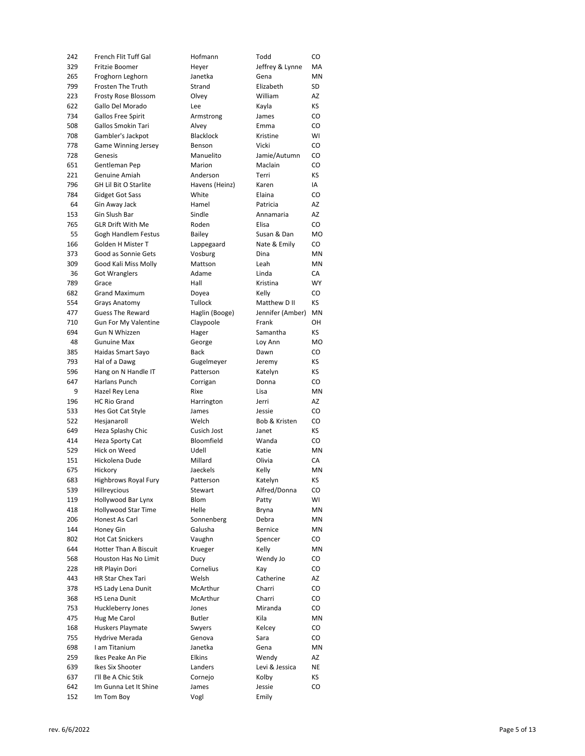| 242 | French Flit Tuff Gal         | Hofmann        | Todd             | CO        |
|-----|------------------------------|----------------|------------------|-----------|
| 329 | Fritzie Boomer               | Heyer          | Jeffrey & Lynne  | MA        |
| 265 | Froghorn Leghorn             | Janetka        | Gena             | <b>MN</b> |
| 799 | Frosten The Truth            | Strand         | Elizabeth        | SD        |
| 223 | Frosty Rose Blossom          | Olvey          | William          | AZ        |
| 622 | Gallo Del Morado             | Lee            | Kayla            | ΚS        |
| 734 | Gallos Free Spirit           | Armstrong      | James            | CO        |
| 508 | Gallos Smokin Tari           | Alvey          | Emma             | CO        |
| 708 | Gambler's Jackpot            | Blacklock      | Kristine         | WI        |
| 778 | Game Winning Jersey          | Benson         | Vicki            | CO        |
| 728 | Genesis                      | Manuelito      | Jamie/Autumn     | CO        |
| 651 | Gentleman Pep                | Marion         | Maclain          | CO        |
| 221 | Genuine Amiah                | Anderson       | Terri            | ΚS        |
| 796 | <b>GH Lil Bit O Starlite</b> | Havens (Heinz) | Karen            | IA        |
| 784 | <b>Gidget Got Sass</b>       | White          | Elaina           | CO        |
| 64  | Gin Away Jack                | Hamel          | Patricia         | AZ        |
| 153 | Gin Slush Bar                | Sindle         | Annamaria        | AZ        |
| 765 | <b>GLR Drift With Me</b>     | Roden          | Elisa            | CO        |
| 55  | Gogh Handlem Festus          | <b>Bailey</b>  | Susan & Dan      | MO        |
| 166 | Golden H Mister T            | Lappegaard     | Nate & Emily     | CO        |
| 373 | Good as Sonnie Gets          | Vosburg        | Dina             | ΜN        |
| 309 | Good Kali Miss Molly         | Mattson        | Leah             | ΜN        |
| 36  | <b>Got Wranglers</b>         | Adame          | Linda            | СA        |
| 789 | Grace                        | Hall           | Kristina         | WY        |
| 682 | <b>Grand Maximum</b>         | Doyea          | Kelly            | CO        |
| 554 | Grays Anatomy                | Tullock        | Matthew D II     | KS.       |
| 477 | <b>Guess The Reward</b>      | Haglin (Booge) | Jennifer (Amber) | ΜN        |
| 710 | <b>Gun For My Valentine</b>  |                | Frank            | OН        |
| 694 | Gun N Whizzen                | Claypoole      | Samantha         | ΚS        |
|     |                              | Hager          |                  |           |
| 48  | <b>Gunuine Max</b>           | George         | Loy Ann          | MO        |
| 385 | Haidas Smart Sayo            | <b>Back</b>    | Dawn             | CO        |
| 793 | Hal of a Dawg                | Gugelmeyer     | Jeremy           | ΚS        |
| 596 | Hang on N Handle IT          | Patterson      | Katelyn          | КS        |
| 647 | Harlans Punch                | Corrigan       | Donna            | CO        |
| 9   | Hazel Rey Lena               | Rixe           | Lisa             | ΜN        |
| 196 | <b>HC Rio Grand</b>          | Harrington     | Jerri            | AZ        |
| 533 | Hes Got Cat Style            | James          | Jessie           | CO        |
| 522 | Hesjanaroll                  | Welch          | Bob & Kristen    | CO        |
| 649 | Heza Splashy Chic            | Cusich Jost    | Janet            | КS        |
| 414 | Heza Sporty Cat              | Bloomfield     | Wanda            | CO        |
| 529 | Hick on Weed                 | Udell          | Katie            | MN        |
| 151 | Hickolena Dude               | Millard        | Olivia           | СA        |
| 675 | Hickory                      | Jaeckels       | Kelly            | <b>MN</b> |
| 683 | Highbrows Royal Fury         | Patterson      | Katelyn          | KS.       |
| 539 | Hillreycious                 | Stewart        | Alfred/Donna     | CO        |
| 119 | Hollywood Bar Lynx           | Blom           | Patty            | WI        |
| 418 | Hollywood Star Time          | Helle          | Bryna            | ΜN        |
| 206 | Honest As Carl               |                |                  | ΜN        |
| 144 |                              | Sonnenberg     | Debra            |           |
| 802 | Honey Gin                    | Galusha        | Bernice          | ΜN        |
|     | <b>Hot Cat Snickers</b>      | Vaughn         | Spencer          | CO        |
| 644 | <b>Hotter Than A Biscuit</b> | Krueger        | Kelly            | ΜN        |
| 568 | Houston Has No Limit         | Ducy           | Wendy Jo         | CO        |
| 228 | HR Playin Dori               | Cornelius      | Kay              | CO        |
| 443 | HR Star Chex Tari            | Welsh          | Catherine        | AZ        |
| 378 | HS Lady Lena Dunit           | McArthur       | Charri           | CO        |
| 368 | <b>HS Lena Dunit</b>         | McArthur       | Charri           | CO        |
| 753 | Huckleberry Jones            | Jones          | Miranda          | CO        |
| 475 | Hug Me Carol                 | <b>Butler</b>  | Kila             | ΜN        |
| 168 | Huskers Playmate             | Swyers         | Kelcey           | CO        |
| 755 | <b>Hydrive Merada</b>        | Genova         | Sara             | CO        |
| 698 | I am Titanium                | Janetka        | Gena             | ΜN        |
| 259 | Ikes Peake An Pie            | Elkins         | Wendy            | AZ        |
| 639 | Ikes Six Shooter             | Landers        | Levi & Jessica   | ΝE        |
| 637 | I'll Be A Chic Stik          | Cornejo        | Kolby            | ΚS        |
| 642 | Im Gunna Let It Shine        | James          | Jessie           | CO        |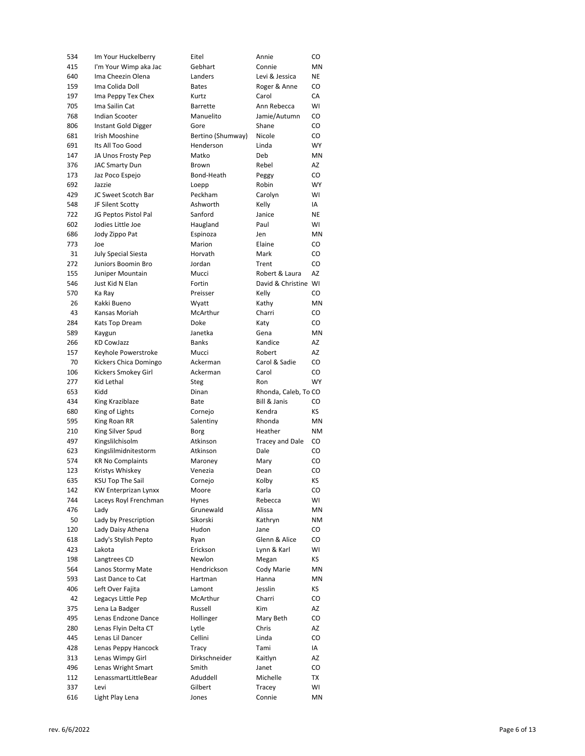| 534        | Im Your Huckelberry          | Eitel               | Annie                  | CO        |
|------------|------------------------------|---------------------|------------------------|-----------|
| 415        | I'm Your Wimp aka Jac        | Gebhart             | Connie                 | ΜN        |
| 640        | Ima Cheezin Olena            | Landers             | Levi & Jessica         | NE        |
| 159        | Ima Colida Doll              | <b>Bates</b>        | Roger & Anne           | CO        |
| 197        | Ima Peppy Tex Chex           | Kurtz               | Carol                  | СA        |
| 705        | Ima Sailin Cat               | <b>Barrette</b>     | Ann Rebecca            | WI        |
| 768        | <b>Indian Scooter</b>        | Manuelito           | Jamie/Autumn           | CO        |
| 806        | Instant Gold Digger          | Gore                | Shane                  | CO        |
| 681        | Irish Mooshine               | Bertino (Shumway)   | Nicole                 | CO        |
| 691        | Its All Too Good             | Henderson           | Linda                  | <b>WY</b> |
| 147        | JA Unos Frosty Pep           | Matko               | Deb                    | MN        |
| 376        | <b>JAC Smarty Dun</b>        | Brown               | Rebel                  | AZ        |
| 173        | Jaz Poco Espejo              | Bond-Heath          | Peggy                  | CO        |
| 692        | Jazzie                       | Loepp               | Robin                  | <b>WY</b> |
| 429        | JC Sweet Scotch Bar          | Peckham             | Carolyn                | WI        |
| 548        | JF Silent Scotty             | Ashworth            | Kelly                  | IA        |
| 722        | JG Peptos Pistol Pal         | Sanford             | Janice                 | NE        |
| 602        | Jodies Little Joe            | Haugland            | Paul                   | WI        |
| 686        | Jody Zippo Pat               | Espinoza            | Jen                    | MN        |
| 773        | Joe                          | Marion              | Elaine                 | CO        |
| 31         | July Special Siesta          | Horvath             | Mark                   | CO        |
| 272        | Juniors Boomin Bro           | Jordan              | Trent                  | CO        |
| 155        | Juniper Mountain             | Mucci               | Robert & Laura         | AZ        |
| 546        | Just Kid N Elan              | Fortin              | David & Christine WI   |           |
| 570        | Ka Ray                       | Preisser            | Kelly                  | CO        |
| 26         | Kakki Bueno                  | Wyatt               | Kathy                  | MN        |
| 43         | Kansas Moriah                | McArthur            | Charri                 | CO        |
| 284        | Kats Top Dream               | Doke                | Katy                   | CO        |
| 589        | Kaygun                       | Janetka             | Gena                   | MN        |
| 266        | KD CowJazz                   | <b>Banks</b>        | Kandice                | AZ        |
| 157        | Keyhole Powerstroke          | Mucci               | Robert                 | AZ        |
| 70         | Kickers Chica Domingo        | Ackerman            | Carol & Sadie          | CO        |
| 106        | Kickers Smokey Girl          | Ackerman            | Carol                  | CO        |
| 277        | Kid Lethal                   | Steg                | Ron                    | <b>WY</b> |
| 653        | Kidd                         | Dinan               | Rhonda, Caleb, To CO   |           |
| 434        | King Kraziblaze              | Bate                | Bill & Janis           | CO        |
| 680        | King of Lights               | Cornejo             | Kendra                 | КS        |
| 595        | King Roan RR                 | Salentiny           | Rhonda                 | MN        |
| 210        | King Silver Spud             | Borg                | Heather                | <b>NM</b> |
| 497        | Kingslilchisolm              | Atkinson            | <b>Tracey and Dale</b> | CO        |
| 623        | Kingslilmidnitestorm         | Atkinson            | Dale                   | CO        |
| 574        | <b>KR No Complaints</b>      | Maroney             | Mary                   | CO        |
| 123        | Kristys Whiskey              | Venezia             | Dean                   | CO        |
| 635        | KSU Top The Sail             | Cornejo             | Kolby                  | KS.       |
| 142        | KW Enterprizan Lynxx         | Moore               | Karla                  | CO        |
| 744        | Laceys Royl Frenchman        | Hynes               | Rebecca                | WI        |
| 476        | Lady                         | Grunewald           | Alissa                 | MN        |
| 50         | Lady by Prescription         | Sikorski            | Kathryn                | ΝM        |
| 120        | Lady Daisy Athena            | Hudon               | Jane                   | CO        |
| 618        | Lady's Stylish Pepto         | Ryan                | Glenn & Alice          | CO        |
| 423        | Lakota                       | Erickson            | Lynn & Karl            | WI        |
| 198        | Langtrees CD                 | Newlon              | Megan                  | КS        |
| 564        | Lanos Stormy Mate            | Hendrickson         | Cody Marie             | ΜN        |
| 593        | Last Dance to Cat            | Hartman             | Hanna                  | MN        |
| 406        | Left Over Fajita             | Lamont              | Jesslin                | КS        |
| 42         | Legacys Little Pep           | McArthur            | Charri                 | CO        |
| 375        | Lena La Badger               | Russell             | Kim                    | AZ        |
| 495        | Lenas Endzone Dance          | Hollinger           | Mary Beth              | CO        |
| 280        | Lenas Flyin Delta CT         | Lytle               | Chris                  | AZ        |
| 445        | Lenas Lil Dancer             | Cellini             | Linda                  | CO        |
| 428        | Lenas Peppy Hancock          | Tracy               | Tami                   | IA        |
| 313        |                              |                     |                        |           |
|            |                              |                     |                        |           |
|            | Lenas Wimpy Girl             | Dirkschneider       | Kaitlyn                | AZ        |
| 496        | Lenas Wright Smart           | Smith               | Janet                  | CO        |
| 112<br>337 | LenassmartLittleBear<br>Levi | Aduddell<br>Gilbert | Michelle               | ТX<br>WI  |
| 616        | Light Play Lena              | Jones               | Tracey<br>Connie       | ΜN        |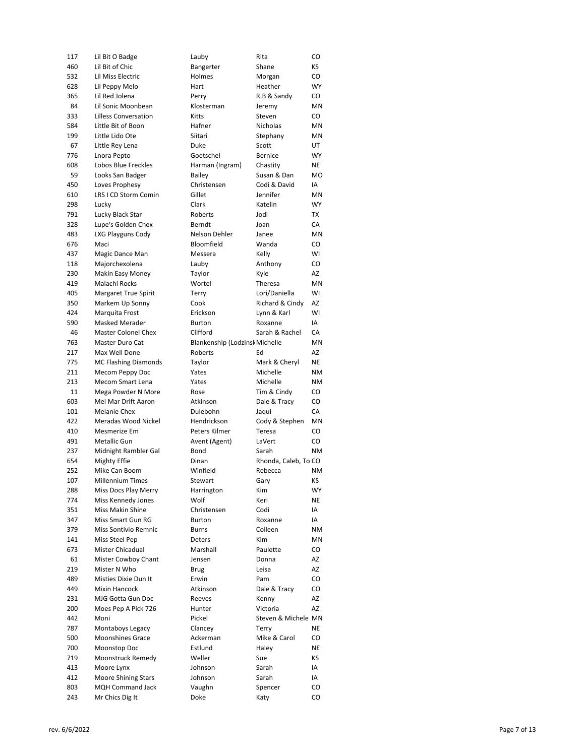| 117 | Lil Bit O Badge             | Lauby                          | Rita                 | CO             |
|-----|-----------------------------|--------------------------------|----------------------|----------------|
| 460 | Lil Bit of Chic             | Bangerter                      | Shane                | КS             |
| 532 | Lil Miss Electric           | Holmes                         | Morgan               | CO             |
| 628 | Lil Peppy Melo              | Hart                           | Heather              | <b>WY</b>      |
| 365 | Lil Red Jolena              | Perry                          | R.B & Sandy          | CO             |
| 84  | Lil Sonic Moonbean          | Klosterman                     | Jeremy               | MN             |
| 333 | <b>Lilless Conversation</b> | Kitts                          | Steven               | CO             |
| 584 | Little Bit of Boon          | Hafner                         | Nicholas             | MN             |
| 199 | Little Lido Ote             | Siitari                        | Stephany             | MN             |
| 67  | Little Rey Lena             | Duke                           | Scott                | UT             |
| 776 | Lnora Pepto                 | Goetschel                      | <b>Bernice</b>       | WY             |
| 608 | Lobos Blue Freckles         | Harman (Ingram)                | Chastity             | NE             |
| 59  | Looks San Badger            | Bailey                         | Susan & Dan          | M <sub>O</sub> |
| 450 | Loves Prophesy              | Christensen                    | Codi & David         | IA             |
| 610 | LRS I CD Storm Comin        | Gillet                         | Jennifer             | MN             |
| 298 | Lucky                       | Clark                          | Katelin              | WY             |
| 791 | Lucky Black Star            | Roberts                        | Jodi                 | ТX             |
| 328 | Lupe's Golden Chex          | Berndt                         | Joan                 | CA             |
| 483 | LXG Playguns Cody           | Nelson Dehler                  | Janee                | ΜN             |
| 676 | Maci                        | Bloomfield                     | Wanda                | CO             |
| 437 | Magic Dance Man             | Messera                        | Kelly                | WI             |
| 118 | Majorchexolena              | Lauby                          | Anthony              | CO             |
| 230 | Makin Easy Money            | Taylor                         | Kyle                 | AZ             |
| 419 | Malachi Rocks               | Wortel                         | Theresa              | MN             |
| 405 | <b>Margaret True Spirit</b> | Terry                          | Lori/Daniella        | WI             |
| 350 | Markem Up Sonny             | Cook                           | Richard & Cindy      | AZ             |
| 424 | Marquita Frost              | Erickson                       | Lynn & Karl          | WI             |
| 590 | Masked Merader              | <b>Burton</b>                  | Roxanne              | IA             |
| 46  | <b>Master Colonel Chex</b>  | Clifford                       | Sarah & Rachel       | CA             |
| 763 | Master Duro Cat             | Blankenship (Lodzinsk Michelle |                      | <b>MN</b>      |
| 217 | Max Well Done               | Roberts                        | Ed                   | AZ             |
| 775 | <b>MC Flashing Diamonds</b> | Taylor                         | Mark & Cheryl        | ΝE             |
| 211 | Mecom Peppy Doc             | Yates                          | Michelle             | <b>NM</b>      |
| 213 | Mecom Smart Lena            | Yates                          | Michelle             | <b>NM</b>      |
| 11  | Mega Powder N More          | Rose                           | Tim & Cindy          | CO             |
| 603 | Mel Mar Drift Aaron         | Atkinson                       | Dale & Tracy         | CO             |
| 101 | <b>Melanie Chex</b>         | Dulebohn                       |                      | CA             |
| 422 | Meradas Wood Nickel         | Hendrickson                    | Jaqui                | ΜN             |
|     | Mesmerize Em                |                                | Cody & Stephen       |                |
| 410 |                             | Peters Kilmer                  | Teresa               | CO             |
| 491 | Metallic Gun                | Avent (Agent)                  | LaVert               | CO             |
| 237 | Midnight Rambler Gal        | Bond                           | Sarah                | ΝM             |
| 654 | Mighty Effie                | Dinan                          | Rhonda, Caleb, To CO |                |
| 252 | Mike Can Boom               | Winfield                       | Rebecca              | <b>NM</b>      |
| 107 | Millennium Times            | Stewart                        | Gary                 | ΚS             |
| 288 | Miss Docs Play Merry        | Harrington                     | Kim                  | WY             |
| 774 | Miss Kennedy Jones          | Wolf                           | Keri                 | ΝE             |
| 351 | Miss Makin Shine            | Christensen                    | Codi                 | IA             |
| 347 | Miss Smart Gun RG           | Burton                         | Roxanne              | IA             |
| 379 | Miss Sontivio Remnic        | Burns                          | Colleen              | ΝM             |
| 141 | Miss Steel Pep              | Deters                         | <b>Kim</b>           | ΜN             |
| 673 | Mister Chicadual            | Marshall                       | Paulette             | CO             |
| 61  | Mister Cowboy Chant         | Jensen                         | Donna                | AZ             |
| 219 | Mister N Who                | Brug                           | Leisa                | AZ             |
| 489 | Misties Dixie Dun It        | Erwin                          | Pam                  | CO             |
| 449 | <b>Mixin Hancock</b>        | Atkinson                       | Dale & Tracy         | CO             |
| 231 | MJG Gotta Gun Doc           | Reeves                         | Kenny                | AZ             |
| 200 | Moes Pep A Pick 726         | Hunter                         | Victoria             | AZ             |
| 442 | Moni                        | Pickel                         | Steven & Michele MN  |                |
| 787 | Montaboys Legacy            | Clancey                        | Terry                | ΝE             |
| 500 | <b>Moonshines Grace</b>     | Ackerman                       | Mike & Carol         | CO             |
| 700 | Moonstop Doc                | Estlund                        | Haley                | ΝE             |
| 719 | Moonstruck Remedy           | Weller                         | Sue                  | ΚS             |
| 413 | Moore Lynx                  | Johnson                        | Sarah                | IA             |
| 412 | <b>Moore Shining Stars</b>  | Johnson                        | Sarah                | IA             |
| 803 | <b>MQH Command Jack</b>     | Vaughn                         | Spencer              | CO             |
| 243 | Mr Chics Dig It             | Doke                           | Katy                 | CO             |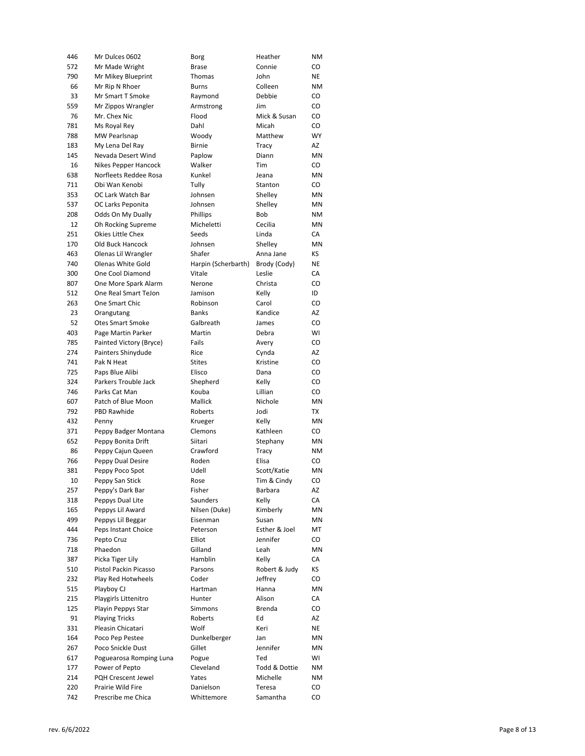| 446 | Mr Dulces 0602          | Borg                | Heather       | ΝM        |
|-----|-------------------------|---------------------|---------------|-----------|
| 572 | Mr Made Wright          | <b>Brase</b>        | Connie        | CO        |
| 790 | Mr Mikey Blueprint      | Thomas              | John          | NE        |
| 66  | Mr Rip N Rhoer          | Burns               | Colleen       | ΝM        |
| 33  | Mr Smart T Smoke        | Raymond             | Debbie        | CO        |
| 559 | Mr Zippos Wrangler      | Armstrong           | Jim           | CO        |
| 76  | Mr. Chex Nic            | Flood               | Mick & Susan  | CO        |
| 781 | Ms Royal Rey            | Dahl                | Micah         | CO        |
| 788 | MW Pearlsnap            | Woody               | Matthew       | <b>WY</b> |
| 183 | My Lena Del Ray         | <b>Birnie</b>       | Tracy         | AZ        |
| 145 | Nevada Desert Wind      | Paplow              | Diann         | ΜN        |
| 16  | Nikes Pepper Hancock    | Walker              | Tim           | CO        |
| 638 | Norfleets Reddee Rosa   | Kunkel              | Jeana         | ΜN        |
| 711 | Obi Wan Kenobi          | Tully               | Stanton       | CO        |
| 353 | OC Lark Watch Bar       | Johnsen             | Shelley       | ΜN        |
| 537 | OC Larks Peponita       | Johnsen             | Shelley       | ΜN        |
| 208 | Odds On My Dually       | Phillips            | <b>Bob</b>    | ΝM        |
| 12  | Oh Rocking Supreme      | Micheletti          | Cecilia       | ΜN        |
| 251 | Okies Little Chex       | Seeds               | Linda         | СA        |
| 170 | Old Buck Hancock        | Johnsen             | Shelley       | MN        |
| 463 | Olenas Lil Wrangler     | Shafer              | Anna Jane     | ΚS        |
| 740 | Olenas White Gold       | Harpin (Scherbarth) | Brody (Cody)  | ΝE        |
| 300 | One Cool Diamond        | Vitale              | Leslie        | СA        |
| 807 | One More Spark Alarm    | Nerone              | Christa       | CO        |
| 512 | One Real Smart TeJon    | Jamison             | Kelly         | ID        |
| 263 | One Smart Chic          | Robinson            | Carol         | CO        |
| 23  | Orangutang              | <b>Banks</b>        | Kandice       | AZ        |
| 52  | <b>Otes Smart Smoke</b> | Galbreath           | James         | CO        |
| 403 | Page Martin Parker      | Martin              | Debra         | WI        |
| 785 | Painted Victory (Bryce) | Fails               | Avery         | CO        |
| 274 | Painters Shinydude      | Rice                | Cynda         | AZ        |
| 741 | Pak N Heat              | <b>Stites</b>       | Kristine      | CO        |
| 725 | Paps Blue Alibi         | Elisco              | Dana          | CO        |
| 324 | Parkers Trouble Jack    | Shepherd            | Kelly         | CO        |
| 746 | Parks Cat Man           | Kouba               | Lillian       | CO        |
| 607 | Patch of Blue Moon      | Mallick             | Nichole       | ΜN        |
| 792 | PBD Rawhide             | Roberts             | Jodi          | ТX        |
| 432 | Penny                   | Krueger             | Kelly         | ΜN        |
| 371 | Peppy Badger Montana    | Clemons             | Kathleen      | CO        |
| 652 | Peppy Bonita Drift      | Siitari             | Stephany      | ΜN        |
| 86  | Peppy Cajun Queen       | Crawford            | Tracy         | ΝM        |
| 766 | Peppy Dual Desire       | Roden               | Elisa         | CO        |
| 381 | Peppy Poco Spot         | Udell               | Scott/Katie   | ΜN        |
| 10  | Peppy San Stick         | Rose                | Tim & Cindy   | $\rm CO$  |
| 257 | Peppy's Dark Bar        | Fisher              | Barbara       | AZ        |
| 318 | Peppys Dual Lite        | Saunders            | Kelly         | СA        |
| 165 | Peppys Lil Award        | Nilsen (Duke)       | Kimberly      | MN        |
| 499 | Peppys Lil Beggar       | Eisenman            | Susan         | ΜN        |
| 444 | Peps Instant Choice     | Peterson            | Esther & Joel | МT        |
| 736 | Pepto Cruz              | Elliot              | Jennifer      | CO        |
| 718 | Phaedon                 | Gilland             | Leah          | ΜN        |
| 387 | Picka Tiger Lily        | Hamblin             | Kelly         | СA        |
| 510 | Pistol Packin Picasso   | Parsons             | Robert & Judy | ΚS        |
| 232 | Play Red Hotwheels      | Coder               | Jeffrey       | CO        |
| 515 | Playboy CJ              | Hartman             | Hanna         | ΜN        |
|     | Playgirls Littenitro    |                     |               |           |
| 215 |                         | Hunter              | Alison        | СA        |
| 125 | Playin Peppys Star      | Simmons             | Brenda        | CO        |
| 91  | <b>Playing Tricks</b>   | Roberts             | Ed            | AZ        |
| 331 | Pleasin Chicatari       | Wolf                | Keri          | NE        |
| 164 | Poco Pep Pestee         | Dunkelberger        | Jan           | ΜN        |
| 267 | Poco Snickle Dust       | Gillet              | Jennifer      | ΜN        |
| 617 | Poguearosa Romping Luna | Pogue               | Ted           | WI        |
| 177 | Power of Pepto          | Cleveland           | Todd & Dottie | ΝM        |
| 214 | PQH Crescent Jewel      | Yates               | Michelle      | ΝM        |
| 220 | Prairie Wild Fire       | Danielson           | Teresa        | CO        |
| 742 | Prescribe me Chica      | Whittemore          | Samantha      | CO        |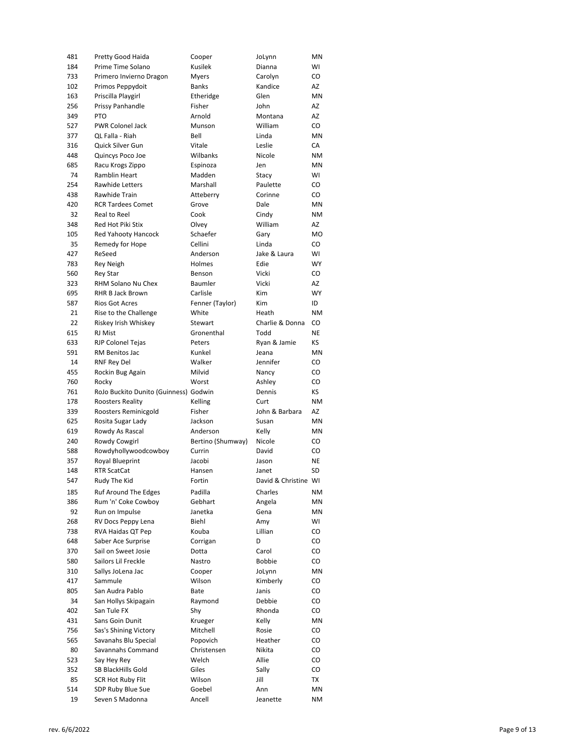| 481 | Pretty Good Haida                     | Cooper            | JoLynn               | ΜN             |
|-----|---------------------------------------|-------------------|----------------------|----------------|
| 184 | Prime Time Solano                     | Kusilek           | Dianna               | WI             |
| 733 | Primero Invierno Dragon               | <b>Myers</b>      | Carolyn              | CO             |
| 102 | Primos Peppydoit                      | <b>Banks</b>      | Kandice              | AZ             |
| 163 | Priscilla Playgirl                    | Etheridge         | Glen                 | MN             |
| 256 | Prissy Panhandle                      | Fisher            | John                 | AZ             |
| 349 | <b>PTO</b>                            | Arnold            | Montana              | AZ             |
| 527 | PWR Colonel Jack                      | Munson            | William              | CO             |
| 377 | QL Falla - Riah                       | Bell              | Linda                | ΜN             |
| 316 | Quick Silver Gun                      | Vitale            | Leslie               | СA             |
| 448 | Quincys Poco Joe                      | Wilbanks          | Nicole               | <b>NM</b>      |
| 685 | Racu Krogs Zippo                      | Espinoza          | Jen                  | ΜN             |
| 74  | Ramblin Heart                         | Madden            | Stacy                | WI             |
| 254 | <b>Rawhide Letters</b>                | Marshall          | Paulette             | CO             |
| 438 | Rawhide Train                         | Atteberry         | Corinne              | CO             |
| 420 | <b>RCR Tardees Comet</b>              | Grove             | Dale                 | ΜN             |
| 32  | Real to Reel                          | Cook              | Cindy                | ΝM             |
| 348 | Red Hot Piki Stix                     | Olvey             | William              | AZ             |
| 105 | Red Yahooty Hancock                   | Schaefer          | Gary                 | M <sub>O</sub> |
| 35  | Remedy for Hope                       | Cellini           | Linda                | CO             |
| 427 | ReSeed                                | Anderson          | Jake & Laura         | WI             |
| 783 | Rey Neigh                             | Holmes            | Edie                 | <b>WY</b>      |
| 560 | <b>Rey Star</b>                       | Benson            | Vicki                | CO             |
| 323 | RHM Solano Nu Chex                    | Baumler           | Vicki                | AZ             |
| 695 | RHR B Jack Brown                      | Carlisle          | Kim                  | <b>WY</b>      |
| 587 | <b>Rios Got Acres</b>                 | Fenner (Taylor)   | Kim                  | ID             |
| 21  | Rise to the Challenge                 | White             | Heath                | <b>NM</b>      |
| 22  | Riskey Irish Whiskey                  | Stewart           | Charlie & Donna      | CO             |
| 615 | <b>RJ Mist</b>                        | Gronenthal        | Todd                 | NE             |
| 633 | <b>RJP Colonel Tejas</b>              | Peters            | Ryan & Jamie         | КS             |
| 591 | RM Benitos Jac                        | Kunkel            | Jeana                | ΜN             |
| 14  | <b>RNF Rey Del</b>                    | Walker            | Jennifer             | CO             |
| 455 | Rockin Bug Again                      | Milvid            | Nancy                | CO             |
|     |                                       |                   |                      |                |
|     |                                       |                   |                      |                |
| 760 | Rocky                                 | Worst             | Ashley               | CO             |
| 761 | RoJo Buckito Dunito (Guinness) Godwin |                   | Dennis               | KS.            |
| 178 | <b>Roosters Reality</b>               | Kelling           | Curt                 | <b>NM</b>      |
| 339 | Roosters Reminicgold                  | Fisher            | John & Barbara       | AZ             |
| 625 | Rosita Sugar Lady                     | Jackson           | Susan                | MN             |
| 619 | Rowdy As Rascal                       | Anderson          | Kelly                | ΜN             |
| 240 | Rowdy Cowgirl                         | Bertino (Shumway) | Nicole               | CO             |
| 588 | Rowdyhollywoodcowboy                  | Currin            | David                | CO             |
| 357 | <b>Royal Blueprint</b>                | Jacobi            | Jason                | NE             |
| 148 | <b>RTR ScatCat</b>                    | Hansen            | Janet                | SD             |
| 547 | Rudy The Kid                          | Fortin            | David & Christine WI |                |
| 185 | Ruf Around The Edges                  | Padilla           | Charles              | ΝM             |
| 386 | Rum 'n' Coke Cowboy                   | Gebhart           | Angela               | ΜN             |
| 92  | Run on Impulse                        | Janetka           | Gena                 | ΜN             |
| 268 | RV Docs Peppy Lena                    | Biehl             | Amy                  | WI             |
| 738 | RVA Haidas QT Pep                     | Kouba             | Lillian              | CO             |
| 648 | Saber Ace Surprise                    | Corrigan          | D                    | CO             |
| 370 | Sail on Sweet Josie                   | Dotta             | Carol                | CO             |
| 580 | Sailors Lil Freckle                   | Nastro            | <b>Bobbie</b>        | CO             |
| 310 | Sallys JoLena Jac                     | Cooper            | JoLynn               | ΜN             |
| 417 | Sammule                               | Wilson            | Kimberly             | CO             |
| 805 | San Audra Pablo                       | Bate              | Janis                | CO             |
| 34  | San Hollys Skipagain                  | Raymond           | Debbie               | CO             |
| 402 | San Tule FX                           | Shy               | Rhonda               | CO             |
| 431 | Sans Goin Dunit                       | Krueger           | Kelly                | ΜN             |
| 756 | Sas's Shining Victory                 | Mitchell          | Rosie                | CO             |
| 565 | Savanahs Blu Special                  | Popovich          | Heather              | CO             |
| 80  | Savannahs Command                     | Christensen       | Nikita               | CO             |
| 523 | Say Hey Rey                           | Welch             | Allie                | CO             |
| 352 | SB BlackHills Gold                    | Giles             | Sally                | CO             |
| 85  | <b>SCR Hot Ruby Flit</b>              | Wilson            | Jill                 | TX             |
| 514 | SDP Ruby Blue Sue                     | Goebel            | Ann                  | ΜN             |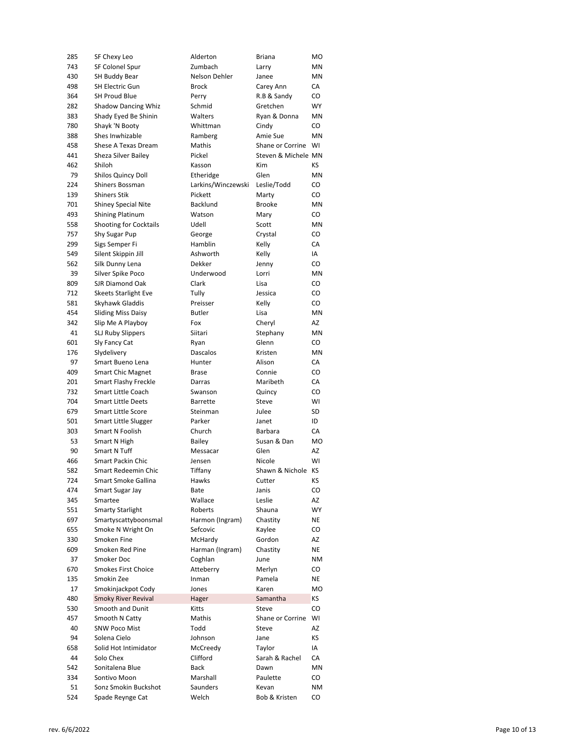| 285        | SF Chexy Leo                  | Alderton                | Briana              | MO        |
|------------|-------------------------------|-------------------------|---------------------|-----------|
| 743        | SF Colonel Spur               | Zumbach                 | Larry               | ΜN        |
| 430        | SH Buddy Bear                 | Nelson Dehler           | Janee               | ΜN        |
| 498        | <b>SH Electric Gun</b>        | <b>Brock</b>            | Carey Ann           | СA        |
| 364        | <b>SH Proud Blue</b>          | Perry                   | R.B & Sandy         | CO        |
| 282        | <b>Shadow Dancing Whiz</b>    | Schmid                  | Gretchen            | WY        |
| 383        | Shady Eyed Be Shinin          | Walters                 | Ryan & Donna        | ΜN        |
| 780        | Shayk 'N Booty                | Whittman                | Cindy               | CO        |
| 388        | Shes Inwhizable               | Ramberg                 | Amie Sue            | MN        |
| 458        | Shese A Texas Dream           | Mathis                  | Shane or Corrine    | WI        |
| 441        | Sheza Silver Bailey           | Pickel                  | Steven & Michele MN |           |
| 462        | Shiloh                        | Kasson                  | <b>Kim</b>          | КS        |
| 79         | <b>Shilos Quincy Doll</b>     | Etheridge               | Glen                | ΜN        |
| 224        | Shiners Bossman               | Larkins/Winczewski      | Leslie/Todd         | CO        |
| 139        | <b>Shiners Stik</b>           | Pickett                 | Marty               | CO        |
| 701        | <b>Shiney Special Nite</b>    | Backlund                | <b>Brooke</b>       | MN        |
| 493        | <b>Shining Platinum</b>       | Watson                  | Mary                | CO        |
| 558        | <b>Shooting for Cocktails</b> | Udell                   | Scott               | MN        |
| 757        | Shy Sugar Pup                 | George                  | Crystal             | CO        |
| 299        | Sigs Semper Fi                | Hamblin                 | Kelly               | CA        |
| 549        | Silent Skippin Jill           | Ashworth                | Kelly               | IA        |
| 562        | Silk Dunny Lena               | Dekker                  | Jenny               | CO        |
| 39         | Silver Spike Poco             | Underwood               | Lorri               | MN        |
| 809        | SJR Diamond Oak               | Clark                   | Lisa                | CO        |
| 712        | <b>Skeets Starlight Eve</b>   | Tully                   | Jessica             | CO        |
| 581        | Skyhawk Gladdis               | Preisser                | Kelly               | CO        |
| 454        | <b>Sliding Miss Daisy</b>     | <b>Butler</b>           | Lisa                | MN        |
| 342        | Slip Me A Playboy             | Fox                     | Cheryl              | AZ        |
| 41         |                               | Siitari                 |                     | ΜN        |
|            | <b>SLJ Ruby Slippers</b>      |                         | Stephany            |           |
| 601<br>176 | Sly Fancy Cat                 | Ryan<br><b>Dascalos</b> | Glenn               | CO<br>ΜN  |
|            | Slydelivery                   |                         | Kristen             |           |
| 97         | Smart Bueno Lena              | Hunter                  | Alison              | СA        |
| 409        | <b>Smart Chic Magnet</b>      | <b>Brase</b>            | Connie              | CO        |
| 201        | <b>Smart Flashy Freckle</b>   | Darras                  | Maribeth            | СA        |
| 732        | <b>Smart Little Coach</b>     | Swanson                 | Quincy              | CO        |
| 704        | <b>Smart Little Deets</b>     | <b>Barrette</b>         | Steve               | WI        |
| 679        | <b>Smart Little Score</b>     | Steinman                | Julee               | SD        |
| 501        | Smart Little Slugger          | Parker                  | Janet               | ID        |
| 303        | Smart N Foolish               | Church                  | Barbara             | CA        |
| 53         | Smart N High                  | <b>Bailey</b>           | Susan & Dan         | MO        |
| 90         | Smart N Tuff                  | Messacar                | Glen                | AZ        |
| 466        | Smart Packin Chic             | Jensen                  | Nicole              | WI        |
| 582        | Smart Redeemin Chic           | Tiffany                 | Shawn & Nichole     | KS        |
| 724        | Smart Smoke Gallina           | Hawks                   | Cutter              | ΚS        |
| 474        | Smart Sugar Jay               | Bate                    | Janis               | CO        |
| 345        | Smartee                       | Wallace                 | Leslie              | AZ        |
| 551        | <b>Smarty Starlight</b>       | Roberts                 | Shauna              | <b>WY</b> |
| 697        | Smartyscattyboonsmal          | Harmon (Ingram)         | Chastity            | NE        |
| 655        | Smoke N Wright On             | Sefcovic                | Kaylee              | CO        |
| 330        | Smoken Fine                   | McHardy                 | Gordon              | AZ        |
| 609        | Smoken Red Pine               | Harman (Ingram)         | Chastity            | NE        |
| 37         | Smoker Doc                    | Coghlan                 | June                | ΝM        |
| 670        | Smokes First Choice           | Atteberry               | Merlyn              | CO        |
| 135        | Smokin Zee                    | Inman                   | Pamela              | NE        |
| 17         | Smokinjackpot Cody            | Jones                   | Karen               | MO        |
| 480        | <b>Smoky River Revival</b>    | Hager                   | Samantha            | ΚS        |
| 530        | Smooth and Dunit              | Kitts                   | Steve               | CO        |
| 457        | Smooth N Catty                | Mathis                  | Shane or Corrine    | WI        |
| 40         | <b>SNW Poco Mist</b>          | Todd                    | Steve               | AZ        |
| 94         | Solena Cielo                  | Johnson                 | Jane                | КS        |
| 658        | Solid Hot Intimidator         | McCreedy                | Taylor              | IA        |
| 44         | Solo Chex                     | Clifford                | Sarah & Rachel      | СA        |
| 542        | Sonitalena Blue               | <b>Back</b>             | Dawn                | ΜN        |
| 334        | Sontivo Moon                  | Marshall                | Paulette            | CO        |
| 51         | Sonz Smokin Buckshot          | Saunders                | Kevan               | ΝM        |
| 524        | Spade Reynge Cat              | Welch                   | Bob & Kristen       | CO        |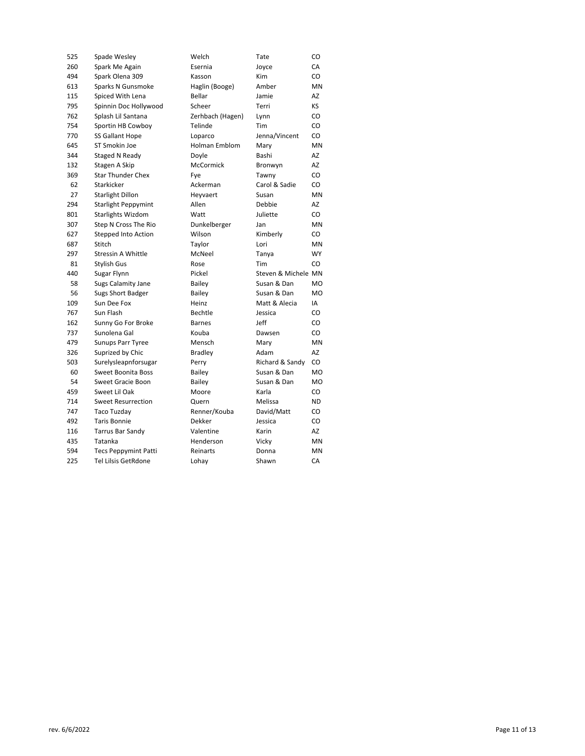| 525 | Spade Wesley                | Welch            | Tate                | CO        |
|-----|-----------------------------|------------------|---------------------|-----------|
| 260 | Spark Me Again              | Esernia          | Joyce               | CA        |
| 494 | Spark Olena 309             | Kasson           | Kim                 | CO        |
| 613 | Sparks N Gunsmoke           | Haglin (Booge)   | Amber               | <b>MN</b> |
| 115 | Spiced With Lena            | Bellar           | Jamie               | AZ        |
| 795 | Spinnin Doc Hollywood       | Scheer           | Terri               | KS        |
| 762 | Splash Lil Santana          | Zerhbach (Hagen) | Lynn                | CO        |
| 754 | Sportin HB Cowboy           | Telinde          | Tim                 | CO        |
| 770 | SS Gallant Hope             | Loparco          | Jenna/Vincent       | CO        |
| 645 | ST Smokin Joe               | Holman Emblom    | Mary                | MN        |
| 344 | Staged N Ready              | Doyle            | Bashi               | AZ        |
| 132 | Stagen A Skip               | <b>McCormick</b> | Bronwyn             | AZ        |
| 369 | <b>Star Thunder Chex</b>    | Fye              | Tawny               | CO        |
| 62  | Starkicker                  | Ackerman         | Carol & Sadie       | CO        |
| 27  | <b>Starlight Dillon</b>     | Heyvaert         | Susan               | MN        |
| 294 | <b>Starlight Peppymint</b>  | Allen            | Debbie              | AZ        |
| 801 | <b>Starlights Wizdom</b>    | Watt             | Juliette            | CO        |
| 307 | Step N Cross The Rio        | Dunkelberger     | Jan                 | MN        |
| 627 | Stepped Into Action         | Wilson           | Kimberly            | CO        |
| 687 | Stitch                      | Taylor           | Lori                | MN        |
| 297 | Stressin A Whittle          | McNeel           | Tanya               | WY        |
| 81  | Stylish Gus                 | Rose             | Tim                 | CO        |
| 440 | Sugar Flynn                 | Pickel           | Steven & Michele MN |           |
| 58  | Sugs Calamity Jane          | Bailey           | Susan & Dan         | <b>MO</b> |
| 56  | Sugs Short Badger           | Bailey           | Susan & Dan         | <b>MO</b> |
| 109 | Sun Dee Fox                 | Heinz            | Matt & Alecia       | IA        |
| 767 | Sun Flash                   | Bechtle          | Jessica             | CO        |
| 162 | Sunny Go For Broke          | <b>Barnes</b>    | Jeff                | CO        |
| 737 | Sunolena Gal                | Kouba            | Dawsen              | CO.       |
| 479 | Sunups Parr Tyree           | Mensch           | Mary                | MN        |
| 326 | Suprized by Chic            | <b>Bradley</b>   | Adam                | AZ        |
| 503 | Surelysleapnforsugar        | Perry            | Richard & Sandy     | CO        |
| 60  | <b>Sweet Boonita Boss</b>   | <b>Bailey</b>    | Susan & Dan         | <b>MO</b> |
| 54  | Sweet Gracie Boon           | Bailey           | Susan & Dan         | <b>MO</b> |
| 459 | Sweet Lil Oak               | Moore            | Karla               | CO        |
| 714 | <b>Sweet Resurrection</b>   | Quern            | Melissa             | ND.       |
| 747 | <b>Taco Tuzday</b>          | Renner/Kouba     | David/Matt          | CO        |
| 492 | <b>Taris Bonnie</b>         | Dekker           | Jessica             | CO        |
| 116 | Tarrus Bar Sandy            | Valentine        | Karin               | AZ        |
| 435 | Tatanka                     | Henderson        | Vicky               | ΜN        |
| 594 | <b>Tecs Peppymint Patti</b> | Reinarts         | Donna               | MN        |
| 225 | Tel Lilsis GetRdone         | Lohay            | Shawn               | CA        |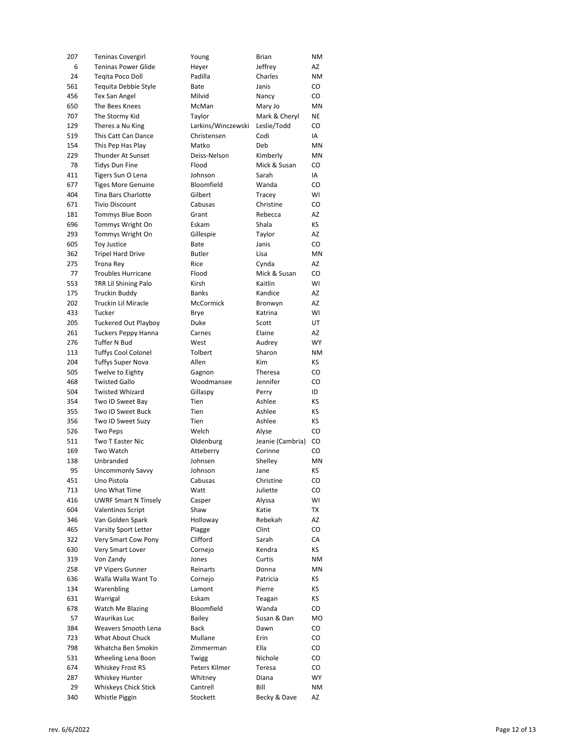| 207 | <b>Teninas Covergirl</b>    | Young              | Brian            | ΝM        |
|-----|-----------------------------|--------------------|------------------|-----------|
| 6   | <b>Teninas Power Glide</b>  | Heyer              | Jeffrey          | AZ        |
| 24  | Tegita Poco Doll            | Padilla            | Charles          | ΝM        |
| 561 | Tequita Debbie Style        | Bate               | Janis            | CO        |
| 456 | Tex San Angel               | Milvid             | Nancy            | CO        |
| 650 | The Bees Knees              | McMan              | Mary Jo          | ΜN        |
| 707 | The Stormy Kid              | Taylor             | Mark & Cheryl    | ΝE        |
| 129 | Theres a Nu King            | Larkins/Winczewski | Leslie/Todd      | CO        |
| 519 | This Catt Can Dance         | Christensen        | Codi             | IA        |
| 154 | This Pep Has Play           | Matko              | Deb              | MN        |
| 229 | <b>Thunder At Sunset</b>    | Deiss-Nelson       | Kimberly         | ΜN        |
| 78  | <b>Tidys Dun Fine</b>       | Flood              | Mick & Susan     | CO        |
| 411 | Tigers Sun O Lena           | Johnson            | Sarah            | IA        |
| 677 | <b>Tiges More Genuine</b>   | Bloomfield         | Wanda            | CO        |
| 404 | Tina Bars Charlotte         | Gilbert            | Tracey           | WI        |
|     |                             |                    |                  |           |
| 671 | <b>Tivio Discount</b>       | Cabusas            | Christine        | CO        |
| 181 | Tommys Blue Boon            | Grant              | Rebecca          | AZ        |
| 696 | Tommys Wright On            | Eskam              | Shala            | ΚS        |
| 293 | Tommys Wright On            | Gillespie          | Taylor           | AZ        |
| 605 | <b>Toy Justice</b>          | Bate               | Janis            | CO        |
| 362 | <b>Tripel Hard Drive</b>    | <b>Butler</b>      | Lisa             | <b>MN</b> |
| 275 | <b>Trona Rey</b>            | Rice               | Cynda            | AZ        |
| 77  | <b>Troubles Hurricane</b>   | Flood              | Mick & Susan     | CO        |
| 553 | TRR Lil Shining Palo        | Kirsh              | Kaitlin          | WI        |
| 175 | Truckin Buddy               | <b>Banks</b>       | Kandice          | AZ        |
| 202 | Truckin Lil Miracle         | McCormick          | Bronwyn          | AZ        |
| 433 | Tucker                      | Brye               | Katrina          | WI        |
| 205 | <b>Tuckered Out Playboy</b> | Duke               | Scott            | UT        |
| 261 | <b>Tuckers Peppy Hanna</b>  | Carnes             | Elaine           | AZ        |
| 276 | Tuffer N Bud                | West               | Audrey           | <b>WY</b> |
| 113 | <b>Tuffys Cool Colonel</b>  | Tolbert            | Sharon           | ΝM        |
| 204 | <b>Tuffys Super Nova</b>    | Allen              | <b>Kim</b>       | КS        |
| 505 | Twelve to Eighty            | Gagnon             | Theresa          | CO        |
| 468 | <b>Twisted Gallo</b>        | Woodmansee         | Jennifer         | CO        |
| 504 | <b>Twisted Whizard</b>      | Gillaspy           | Perry            | ID        |
| 354 | Two ID Sweet Bay            | Tien               | Ashlee           | ΚS        |
| 355 | Two ID Sweet Buck           | Tien               | Ashlee           | ΚS        |
|     |                             |                    | Ashlee           | ΚS        |
| 356 | Two ID Sweet Suzy           | Tien               |                  |           |
| 526 | <b>Two Peps</b>             | Welch              | Alyse            | CO        |
| 511 | <b>Two T Easter Nic</b>     | Oldenburg          | Jeanie (Cambria) | CO        |
| 169 | Two Watch                   | Atteberry          | Corinne          | CO        |
| 138 | Unbranded                   | Johnsen            | Shelley          | MN        |
| 95  | <b>Uncommonly Savvy</b>     | Johnson            | Jane             | ΚS        |
| 451 | Uno Pistola                 | Cabusas            | Christine        | CO        |
| 713 | Uno What Time               | Watt               | Juliette         | CO        |
| 416 | <b>UWRF Smart N Tinsely</b> | Casper             | Alyssa           | WI        |
| 604 | <b>Valentinos Script</b>    | Shaw               | Katie            | TX        |
| 346 | Van Golden Spark            | Holloway           | Rebekah          | AZ        |
| 465 | Varsity Sport Letter        | Plagge             | Clint            | CO        |
| 322 | Very Smart Cow Pony         | Clifford           | Sarah            | СA        |
| 630 | Very Smart Lover            | Cornejo            | Kendra           | ΚS        |
| 319 | Von Zandy                   | Jones              | Curtis           | ΝM        |
| 258 | <b>VP Vipers Gunner</b>     | Reinarts           | Donna            | ΜN        |
| 636 | Walla Walla Want To         | Cornejo            | Patricia         | ΚS        |
| 134 | Warenbling                  | Lamont             | Pierre           | ΚS        |
| 631 | Warrigal                    | Eskam              | Teagan           | ΚS        |
| 678 | Watch Me Blazing            | Bloomfield         | Wanda            | CO        |
| 57  | Waurikas Luc                | Bailey             | Susan & Dan      | MO        |
| 384 | Weavers Smooth Lena         | Back               | Dawn             | CO        |
| 723 | What About Chuck            | Mullane            | Erin             | CO        |
| 798 | Whatcha Ben Smokin          | Zimmerman          | Ella             | CO        |
| 531 | Wheeling Lena Boon          | Twigg              | Nichole          | CO        |
| 674 | Whiskey Frost R5            | Peters Kilmer      | Teresa           | CO        |
| 287 | Whiskey Hunter              | Whitney            | Diana            | WY        |
| 29  | Whiskeys Chick Stick        | Cantrell           | Bill             | ΝM        |
| 340 | Whistle Piggin              | Stockett           | Becky & Dave     | AZ        |
|     |                             |                    |                  |           |